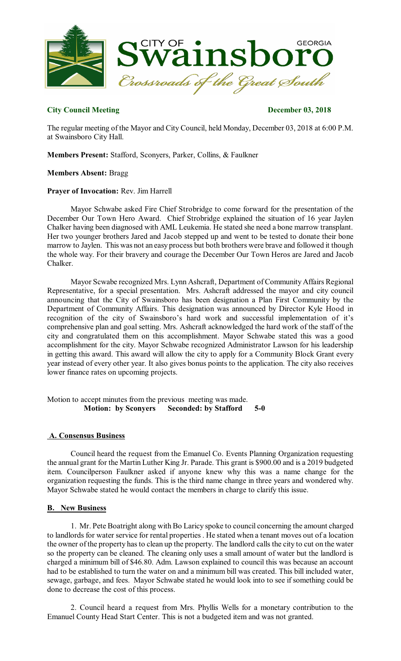

#### **City Council Meeting December 03, 2018**

The regular meeting of the Mayor and City Council, held Monday, December 03, 2018 at 6:00 P.M. at Swainsboro City Hall.

**Members Present:** Stafford, Sconyers, Parker, Collins, & Faulkner

#### **Members Absent:** Bragg

#### **Prayer of Invocation:** Rev. Jim Harrell

Mayor Schwabe asked Fire Chief Strobridge to come forward for the presentation of the December Our Town Hero Award. Chief Strobridge explained the situation of 16 year Jaylen Chalker having been diagnosed with AML Leukemia. He stated she need a bone marrow transplant. Her two younger brothers Jared and Jacob stepped up and went to be tested to donate their bone marrow to Jaylen. This was not an easy process but both brothers were brave and followed it though the whole way. For their bravery and courage the December Our Town Heros are Jared and Jacob Chalker.

Mayor Scwabe recognized Mrs. Lynn Ashcraft, Department of Community Affairs Regional Representative, for a special presentation. Mrs. Ashcraft addressed the mayor and city council announcing that the City of Swainsboro has been designation a Plan First Community by the Department of Community Affairs. This designation was announced by Director Kyle Hood in recognition of the city of Swainsboro's hard work and successful implementation of it's comprehensive plan and goal setting. Mrs. Ashcraft acknowledged the hard work of the staff of the city and congratulated them on this accomplishment. Mayor Schwabe stated this was a good accomplishment for the city. Mayor Schwabe recognized Administrator Lawson for his leadership in getting this award. This award will allow the city to apply for a Community Block Grant every year instead of every other year. It also gives bonus points to the application. The city also receives lower finance rates on upcoming projects.

Motion to accept minutes from the previous meeting was made. **Motion: by Sconyers Seconded: by Stafford 5-0** 

#### **A. Consensus Business**

Council heard the request from the Emanuel Co. Events Planning Organization requesting the annual grant for the Martin Luther King Jr. Parade. This grant is \$900.00 and is a 2019 budgeted item. Councilperson Faulkner asked if anyone knew why this was a name change for the organization requesting the funds. This is the third name change in three years and wondered why. Mayor Schwabe stated he would contact the members in charge to clarify this issue.

#### **B. New Business**

1. Mr. Pete Boatright along with Bo Laricy spoke to council concerning the amount charged to landlords for water service for rental properties . He stated when a tenant moves out of a location the owner of the property hasto clean up the property. The landlord calls the city to cut on the water so the property can be cleaned. The cleaning only uses a small amount of water but the landlord is charged a minimum bill of \$46.80. Adm. Lawson explained to council this was because an account had to be established to turn the water on and a minimum bill was created. This bill included water, sewage, garbage, and fees. Mayor Schwabe stated he would look into to see if something could be done to decrease the cost of this process.

2. Council heard a request from Mrs. Phyllis Wells for a monetary contribution to the Emanuel County Head Start Center. This is not a budgeted item and was not granted.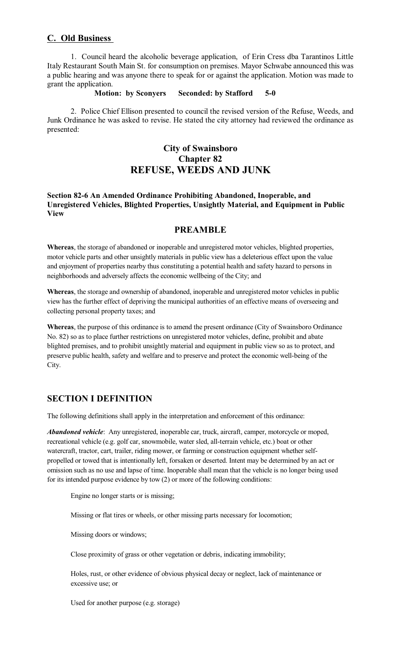### **C. Old Business**

1. Council heard the alcoholic beverage application, of Erin Cress dba Tarantinos Little Italy Restaurant South Main St. for consumption on premises. Mayor Schwabe announced this was a public hearing and was anyone there to speak for or against the application. Motion was made to grant the application.

**Motion: by Sconyers Seconded: by Stafford 5-0** 

2. Police Chief Ellison presented to council the revised version of the Refuse, Weeds, and Junk Ordinance he was asked to revise. He stated the city attorney had reviewed the ordinance as presented:

## **City of Swainsboro Chapter 82 REFUSE, WEEDS AND JUNK**

#### **Section 82-6 An Amended Ordinance Prohibiting Abandoned, Inoperable, and Unregistered Vehicles, Blighted Properties, Unsightly Material, and Equipment in Public View**

### **PREAMBLE**

**Whereas**, the storage of abandoned or inoperable and unregistered motor vehicles, blighted properties, motor vehicle parts and other unsightly materials in public view has a deleterious effect upon the value and enjoyment of properties nearby thus constituting a potential health and safety hazard to persons in neighborhoods and adversely affects the economic wellbeing of the City; and

**Whereas**, the storage and ownership of abandoned, inoperable and unregistered motor vehicles in public view has the further effect of depriving the municipal authorities of an effective means of overseeing and collecting personal property taxes; and

**Whereas**, the purpose of this ordinance is to amend the present ordinance (City of Swainsboro Ordinance No. 82) so as to place further restrictions on unregistered motor vehicles, define, prohibit and abate blighted premises, and to prohibit unsightly material and equipment in public view so as to protect, and preserve public health, safety and welfare and to preserve and protect the economic well-being of the City.

### **SECTION I DEFINITION**

The following definitions shall apply in the interpretation and enforcement of this ordinance:

*Abandoned vehicle*: Any unregistered, inoperable car, truck, aircraft, camper, motorcycle or moped, recreational vehicle (e.g. golf car, snowmobile, water sled, all-terrain vehicle, etc.) boat or other watercraft, tractor, cart, trailer, riding mower, or farming or construction equipment whether selfpropelled or towed that is intentionally left, forsaken or deserted. Intent may be determined by an act or omission such as no use and lapse of time. Inoperable shall mean that the vehicle is no longer being used for its intended purpose evidence by tow (2) or more of the following conditions:

Engine no longer starts or is missing;

Missing or flat tires or wheels, or other missing parts necessary for locomotion;

Missing doors or windows;

Close proximity of grass or other vegetation or debris, indicating immobility;

Holes, rust, or other evidence of obvious physical decay or neglect, lack of maintenance or excessive use; or

Used for another purpose (e.g. storage)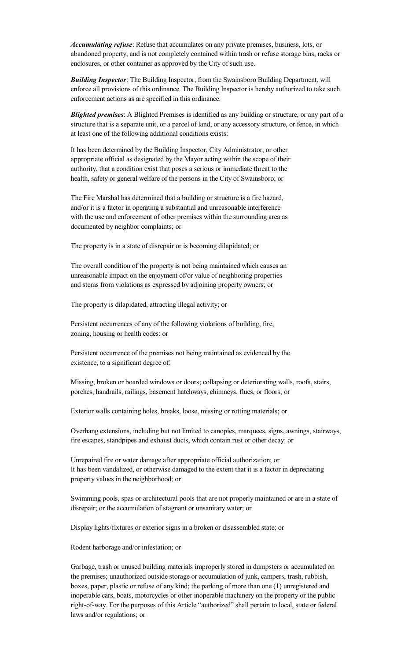*Accumulating refuse*: Refuse that accumulates on any private premises, business, lots, or abandoned property, and is not completely contained within trash or refuse storage bins, racks or enclosures, or other container as approved by the City of such use.

*Building Inspector*: The Building Inspector, from the Swainsboro Building Department, will enforce all provisions of this ordinance. The Building Inspector is hereby authorized to take such enforcement actions as are specified in this ordinance.

*Blighted premises*: A Blighted Premises is identified as any building or structure, or any part of a structure that is a separate unit, or a parcel of land, or any accessory structure, or fence, in which at least one of the following additional conditions exists:

It has been determined by the Building Inspector, City Administrator, or other appropriate official as designated by the Mayor acting within the scope of their authority, that a condition exist that poses a serious or immediate threat to the health, safety or general welfare of the persons in the City of Swainsboro; or

The Fire Marshal has determined that a building or structure is a fire hazard, and/or it is a factor in operating a substantial and unreasonable interference with the use and enforcement of other premises within the surrounding area as documented by neighbor complaints; or

The property is in a state of disrepair or is becoming dilapidated; or

The overall condition of the property is not being maintained which causes an unreasonable impact on the enjoyment of/or value of neighboring properties and stems from violations as expressed by adjoining property owners; or

The property is dilapidated, attracting illegal activity; or

Persistent occurrences of any of the following violations of building, fire, zoning, housing or health codes: or

Persistent occurrence of the premises not being maintained as evidenced by the existence, to a significant degree of:

Missing, broken or boarded windows or doors; collapsing or deteriorating walls, roofs, stairs, porches, handrails, railings, basement hatchways, chimneys, flues, or floors; or

Exterior walls containing holes, breaks, loose, missing or rotting materials; or

Overhang extensions, including but not limited to canopies, marquees, signs, awnings, stairways, fire escapes, standpipes and exhaust ducts, which contain rust or other decay: or

Unrepaired fire or water damage after appropriate official authorization; or It has been vandalized, or otherwise damaged to the extent that it is a factor in depreciating property values in the neighborhood; or

Swimming pools, spas or architectural pools that are not properly maintained or are in a state of disrepair; or the accumulation of stagnant or unsanitary water; or

Display lights/fixtures or exterior signs in a broken or disassembled state; or

Rodent harborage and/or infestation; or

Garbage, trash or unused building materials improperly stored in dumpsters or accumulated on the premises; unauthorized outside storage or accumulation of junk, campers, trash, rubbish, boxes, paper, plastic or refuse of any kind; the parking of more than one (1) unregistered and inoperable cars, boats, motorcycles or other inoperable machinery on the property or the public right-of-way. For the purposes of this Article "authorized" shall pertain to local, state or federal laws and/or regulations; or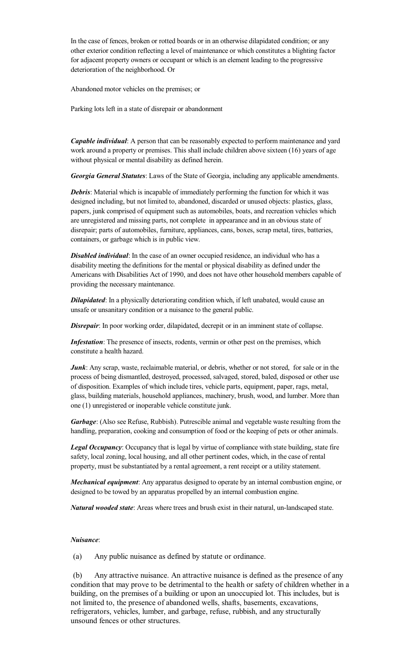In the case of fences, broken or rotted boards or in an otherwise dilapidated condition; or any other exterior condition reflecting a level of maintenance or which constitutes a blighting factor for adjacent property owners or occupant or which is an element leading to the progressive deterioration of the neighborhood. Or

Abandoned motor vehicles on the premises; or

Parking lots left in a state of disrepair or abandonment

*Capable individual*: A person that can be reasonably expected to perform maintenance and yard work around a property or premises. This shall include children above sixteen (16) years of age without physical or mental disability as defined herein.

*Georgia General Statutes*: Laws of the State of Georgia, including any applicable amendments.

*Debris*: Material which is incapable of immediately performing the function for which it was designed including, but not limited to, abandoned, discarded or unused objects: plastics, glass, papers, junk comprised of equipment such as automobiles, boats, and recreation vehicles which are unregistered and missing parts, not complete in appearance and in an obvious state of disrepair; parts of automobiles, furniture, appliances, cans, boxes, scrap metal, tires, batteries, containers, or garbage which is in public view.

*Disabled individual*: In the case of an owner occupied residence, an individual who has a disability meeting the definitions for the mental or physical disability as defined under the Americans with Disabilities Act of 1990, and does not have other household members capable of providing the necessary maintenance.

*Dilapidated*: In a physically deteriorating condition which, if left unabated, would cause an unsafe or unsanitary condition or a nuisance to the general public.

**Disrepair**: In poor working order, dilapidated, decrepit or in an imminent state of collapse.

*Infestation*: The presence of insects, rodents, vermin or other pest on the premises, which constitute a health hazard.

*Junk*: Any scrap, waste, reclaimable material, or debris, whether or not stored, for sale or in the process of being dismantled, destroyed, processed, salvaged, stored, baled, disposed or other use of disposition. Examples of which include tires, vehicle parts, equipment, paper, rags, metal, glass, building materials, household appliances, machinery, brush, wood, and lumber. More than one (1) unregistered or inoperable vehicle constitute junk.

*Garbage*: (Also see Refuse, Rubbish). Putrescible animal and vegetable waste resulting from the handling, preparation, cooking and consumption of food or the keeping of pets or other animals.

*Legal Occupancy*: Occupancy that is legal by virtue of compliance with state building, state fire safety, local zoning, local housing, and all other pertinent codes, which, in the case of rental property, must be substantiated by a rental agreement, a rent receipt or a utility statement.

*Mechanical equipment*: Any apparatus designed to operate by an internal combustion engine, or designed to be towed by an apparatus propelled by an internal combustion engine.

*Natural wooded state*: Areas where trees and brush exist in their natural, un-landscaped state.

#### *Nuisance*:

(a) Any public nuisance as defined by statute or ordinance.

(b) Any attractive nuisance. An attractive nuisance is defined as the presence of any condition that may prove to be detrimental to the health or safety of children whether in a building, on the premises of a building or upon an unoccupied lot. This includes, but is not limited to, the presence of abandoned wells, shafts, basements, excavations, refrigerators, vehicles, lumber, and garbage, refuse, rubbish, and any structurally unsound fences or other structures.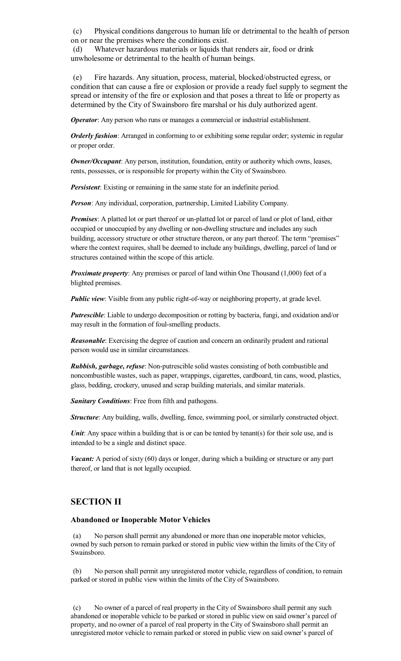(c) Physical conditions dangerous to human life or detrimental to the health of person on or near the premises where the conditions exist.

(d) Whatever hazardous materials or liquids that renders air, food or drink unwholesome or detrimental to the health of human beings.

(e) Fire hazards. Any situation, process, material, blocked/obstructed egress, or condition that can cause a fire or explosion or provide a ready fuel supply to segment the spread or intensity of the fire or explosion and that poses a threat to life or property as determined by the City of Swainsboro fire marshal or his duly authorized agent.

*Operator*: Any person who runs or manages a commercial or industrial establishment.

*Orderly fashion*: Arranged in conforming to or exhibiting some regular order; systemic in regular or proper order.

*Owner/Occupant*: Any person, institution, foundation, entity or authority which owns, leases, rents, possesses, or is responsible for property within the City of Swainsboro.

*Persistent*: Existing or remaining in the same state for an indefinite period.

*Person*: Any individual, corporation, partnership, Limited Liability Company.

*Premises*: A platted lot or part thereof or un-platted lot or parcel of land or plot of land, either occupied or unoccupied by any dwelling or non-dwelling structure and includes any such building, accessory structure or other structure thereon, or any part thereof. The term "premises" where the context requires, shall be deemed to include any buildings, dwelling, parcel of land or structures contained within the scope of this article.

*Proximate property*: Any premises or parcel of land within One Thousand (1,000) feet of a blighted premises.

*Public view*: Visible from any public right-of-way or neighboring property, at grade level.

*Putrescible*: Liable to undergo decomposition or rotting by bacteria, fungi, and oxidation and/or may result in the formation of foul-smelling products.

*Reasonable*: Exercising the degree of caution and concern an ordinarily prudent and rational person would use in similar circumstances.

*Rubbish, garbage, refuse*: Non-putrescible solid wastes consisting of both combustible and noncombustible wastes, such as paper, wrappings, cigarettes, cardboard, tin cans, wood, plastics, glass, bedding, crockery, unused and scrap building materials, and similar materials.

*Sanitary Conditions*: Free from filth and pathogens.

*Structure*: Any building, walls, dwelling, fence, swimming pool, or similarly constructed object.

*Unit*: Any space within a building that is or can be tented by tenant(s) for their sole use, and is intended to be a single and distinct space.

*Vacant:* A period of sixty (60) days or longer, during which a building or structure or any part thereof, or land that is not legally occupied.

#### **SECTION II**

#### **Abandoned or Inoperable Motor Vehicles**

(a) No person shall permit any abandoned or more than one inoperable motor vehicles, owned by such person to remain parked or stored in public view within the limits of the City of Swainsboro.

(b) No person shall permit any unregistered motor vehicle, regardless of condition, to remain parked or stored in public view within the limits of the City of Swainsboro.

(c) No owner of a parcel of real property in the City of Swainsboro shall permit any such abandoned or inoperable vehicle to be parked or stored in public view on said owner's parcel of property, and no owner of a parcel of real property in the City of Swainsboro shall permit an unregistered motor vehicle to remain parked or stored in public view on said owner's parcel of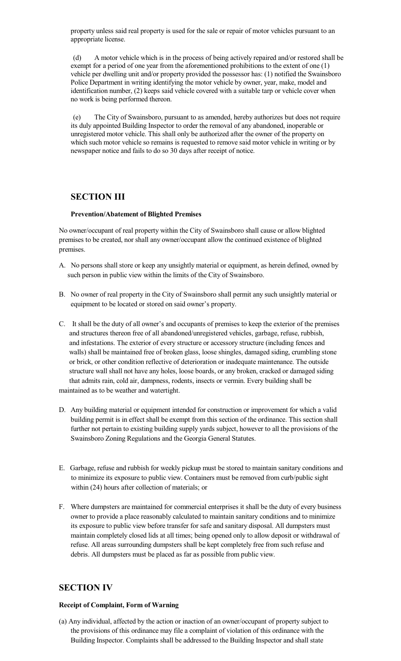property unless said real property is used for the sale or repair of motor vehicles pursuant to an appropriate license.

(d) A motor vehicle which is in the process of being actively repaired and/or restored shall be exempt for a period of one year from the aforementioned prohibitions to the extent of one (1) vehicle per dwelling unit and/or property provided the possessor has: (1) notified the Swainsboro Police Department in writing identifying the motor vehicle by owner, year, make, model and identification number, (2) keeps said vehicle covered with a suitable tarp or vehicle cover when no work is being performed thereon.

(e) The City of Swainsboro, pursuant to as amended, hereby authorizes but does not require its duly appointed Building Inspector to order the removal of any abandoned, inoperable or unregistered motor vehicle. This shall only be authorized after the owner of the property on which such motor vehicle so remains is requested to remove said motor vehicle in writing or by newspaper notice and fails to do so 30 days after receipt of notice.

### **SECTION III**

#### **Prevention/Abatement of Blighted Premises**

No owner/occupant of real property within the City of Swainsboro shall cause or allow blighted premises to be created, nor shall any owner/occupant allow the continued existence of blighted premises.

- A. No persons shall store or keep any unsightly material or equipment, as herein defined, owned by such person in public view within the limits of the City of Swainsboro.
- B. No owner of real property in the City of Swainsboro shall permit any such unsightly material or equipment to be located or stored on said owner's property.
- C. It shall be the duty of all owner's and occupants of premises to keep the exterior of the premises and structures thereon free of all abandoned/unregistered vehicles, garbage, refuse, rubbish, and infestations. The exterior of every structure or accessory structure (including fences and walls) shall be maintained free of broken glass, loose shingles, damaged siding, crumbling stone or brick, or other condition reflective of deterioration or inadequate maintenance. The outside structure wall shall not have any holes, loose boards, or any broken, cracked or damaged siding that admits rain, cold air, dampness, rodents, insects or vermin. Every building shall be maintained as to be weather and watertight.
- D. Any building material or equipment intended for construction or improvement for which a valid building permit is in effect shall be exempt from this section of the ordinance. This section shall further not pertain to existing building supply yards subject, however to all the provisions of the Swainsboro Zoning Regulations and the Georgia General Statutes.
- E. Garbage, refuse and rubbish for weekly pickup must be stored to maintain sanitary conditions and to minimize its exposure to public view. Containers must be removed from curb/public sight within (24) hours after collection of materials; or
- F. Where dumpsters are maintained for commercial enterprises it shall be the duty of every business owner to provide a place reasonably calculated to maintain sanitary conditions and to minimize its exposure to public view before transfer for safe and sanitary disposal. All dumpsters must maintain completely closed lids at all times; being opened only to allow deposit or withdrawal of refuse. All areas surrounding dumpsters shall be kept completely free from such refuse and debris. All dumpsters must be placed as far as possible from public view.

### **SECTION IV**

#### **Receipt of Complaint, Form of Warning**

(a) Any individual, affected by the action or inaction of an owner/occupant of property subject to the provisions of this ordinance may file a complaint of violation of this ordinance with the Building Inspector. Complaints shall be addressed to the Building Inspector and shall state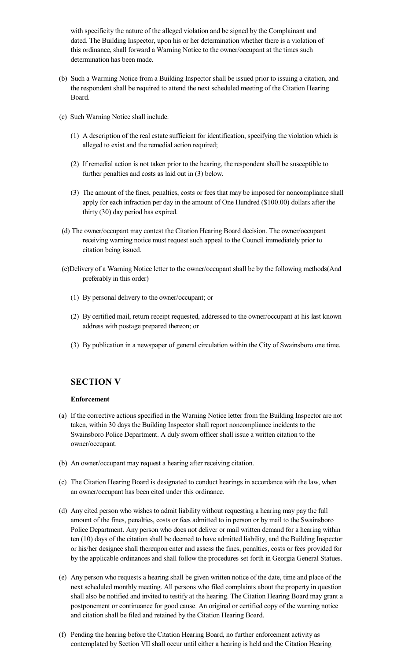with specificity the nature of the alleged violation and be signed by the Complainant and dated. The Building Inspector, upon his or her determination whether there is a violation of this ordinance, shall forward a Warning Notice to the owner/occupant at the times such determination has been made.

- (b) Such a Warming Notice from a Building Inspector shall be issued prior to issuing a citation, and the respondent shall be required to attend the next scheduled meeting of the Citation Hearing Board.
- (c) Such Warning Notice shall include:
	- (1) A description of the real estate sufficient for identification, specifying the violation which is alleged to exist and the remedial action required;
	- (2) If remedial action is not taken prior to the hearing, the respondent shall be susceptible to further penalties and costs as laid out in (3) below.
	- (3) The amount of the fines, penalties, costs or fees that may be imposed for noncompliance shall apply for each infraction per day in the amount of One Hundred (\$100.00) dollars after the thirty (30) day period has expired.
- (d) The owner/occupant may contest the Citation Hearing Board decision. The owner/occupant receiving warning notice must request such appeal to the Council immediately prior to citation being issued.
- (e)Delivery of a Warning Notice letter to the owner/occupant shall be by the following methods(And preferably in this order)
	- (1) By personal delivery to the owner/occupant; or
	- (2) By certified mail, return receipt requested, addressed to the owner/occupant at his last known address with postage prepared thereon; or
	- (3) By publication in a newspaper of general circulation within the City of Swainsboro one time.

### **SECTION V**

#### **Enforcement**

- (a) If the corrective actions specified in the Warning Notice letter from the Building Inspector are not taken, within 30 days the Building Inspector shall report noncompliance incidents to the Swainsboro Police Department. A duly sworn officer shall issue a written citation to the owner/occupant.
- (b) An owner/occupant may request a hearing after receiving citation.
- (c) The Citation Hearing Board is designated to conduct hearings in accordance with the law, when an owner/occupant has been cited under this ordinance.
- (d) Any cited person who wishes to admit liability without requesting a hearing may pay the full amount of the fines, penalties, costs or fees admitted to in person or by mail to the Swainsboro Police Department. Any person who does not deliver or mail written demand for a hearing within ten (10) days of the citation shall be deemed to have admitted liability, and the Building Inspector or his/her designee shall thereupon enter and assess the fines, penalties, costs or fees provided for by the applicable ordinances and shall follow the procedures set forth in Georgia General Statues.
- (e) Any person who requests a hearing shall be given written notice of the date, time and place of the next scheduled monthly meeting. All persons who filed complaints about the property in question shall also be notified and invited to testify at the hearing. The Citation Hearing Board may grant a postponement or continuance for good cause. An original or certified copy of the warning notice and citation shall be filed and retained by the Citation Hearing Board.
- (f) Pending the hearing before the Citation Hearing Board, no further enforcement activity as contemplated by Section VII shall occur until either a hearing is held and the Citation Hearing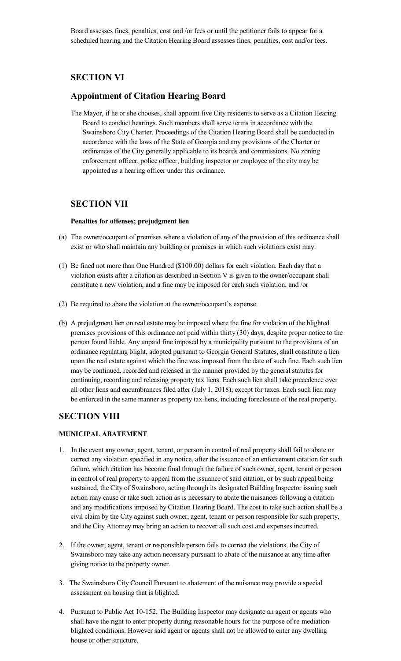Board assesses fines, penalties, cost and /or fees or until the petitioner fails to appear for a scheduled hearing and the Citation Hearing Board assesses fines, penalties, cost and/or fees.

### **SECTION VI**

### **Appointment of Citation Hearing Board**

The Mayor, if he or she chooses, shall appoint five City residents to serve as a Citation Hearing Board to conduct hearings. Such members shall serve terms in accordance with the Swainsboro City Charter. Proceedings of the Citation Hearing Board shall be conducted in accordance with the laws of the State of Georgia and any provisions of the Charter or ordinances of the City generally applicable to its boards and commissions. No zoning enforcement officer, police officer, building inspector or employee of the city may be appointed as a hearing officer under this ordinance.

### **SECTION VII**

#### **Penalties for offenses; prejudgment lien**

- (a) The owner/occupant of premises where a violation of any of the provision of this ordinance shall exist or who shall maintain any building or premises in which such violations exist may:
- (1) Be fined not more than One Hundred (\$100.00) dollars for each violation. Each day that a violation exists after a citation as described in Section V is given to the owner/occupant shall constitute a new violation, and a fine may be imposed for each such violation; and /or
- (2) Be required to abate the violation at the owner/occupant's expense.
- (b) A prejudgment lien on real estate may be imposed where the fine for violation of the blighted premises provisions of this ordinance not paid within thirty (30) days, despite proper notice to the person found liable. Any unpaid fine imposed by a municipality pursuant to the provisions of an ordinance regulating blight, adopted pursuant to Georgia General Statutes, shall constitute a lien upon the real estate against which the fine was imposed from the date of such fine. Each such lien may be continued, recorded and released in the manner provided by the general statutes for continuing, recording and releasing property tax liens. Each such lien shall take precedence over all other liens and encumbrances filed after (July 1, 2018), except for taxes. Each such lien may be enforced in the same manner as property tax liens, including foreclosure of the real property.

### **SECTION VIII**

#### **MUNICIPAL ABATEMENT**

- 1. In the event any owner, agent, tenant, or person in control of real property shall fail to abate or correct any violation specified in any notice, after the issuance of an enforcement citation for such failure, which citation has become final through the failure of such owner, agent, tenant or person in control of real property to appeal from the issuance of said citation, or by such appeal being sustained, the City of Swainsboro, acting through its designated Building Inspector issuing such action may cause or take such action as is necessary to abate the nuisances following a citation and any modifications imposed by Citation Hearing Board. The cost to take such action shall be a civil claim by the City against such owner, agent, tenant or person responsible for such property, and the City Attorney may bring an action to recover all such cost and expenses incurred.
- 2. If the owner, agent, tenant or responsible person fails to correct the violations, the City of Swainsboro may take any action necessary pursuant to abate of the nuisance at any time after giving notice to the property owner.
- 3. The Swainsboro City Council Pursuant to abatement of the nuisance may provide a special assessment on housing that is blighted.
- 4. Pursuant to Public Act 10-152, The Building Inspector may designate an agent or agents who shall have the right to enter property during reasonable hours for the purpose of re-mediation blighted conditions. However said agent or agents shall not be allowed to enter any dwelling house or other structure.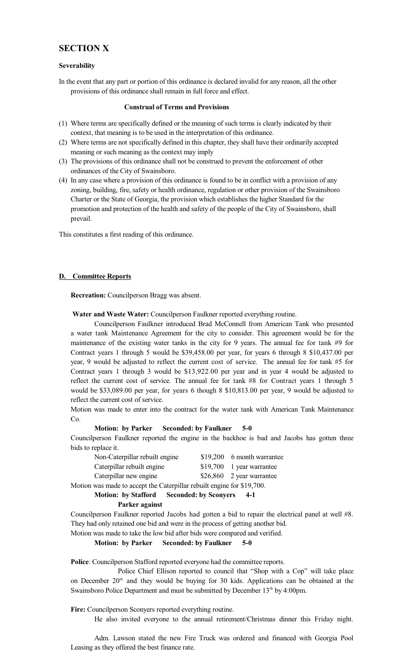### **SECTION X**

#### **Severability**

In the event that any part or portion of this ordinance is declared invalid for any reason, all the other provisions of this ordinance shall remain in full force and effect.

#### **Construal of Terms and Provisions**

- (1) Where terms are specifically defined or the meaning of such terms is clearly indicated by their context, that meaning is to be used in the interpretation of this ordinance.
- (2) Where terms are not specifically defined in this chapter, they shall have their ordinarily accepted meaning or such meaning as the context may imply
- (3) The provisions of this ordinance shall not be construed to prevent the enforcement of other ordinances of the City of Swainsboro.
- (4) In any case where a provision of this ordinance is found to be in conflict with a provision of any zoning, building, fire, safety or health ordinance, regulation or other provision of the Swainsboro Charter or the State of Georgia, the provision which establishes the higher Standard for the promotion and protection of the health and safety of the people of the City of Swainsboro, shall prevail.

This constitutes a first reading of this ordinance.

#### **D. Committee Reports**

**Recreation:** Councilperson Bragg was absent.

**Water and Waste Water:** Councilperson Faulkner reported everything routine.

Councilperson Faulkner introduced Brad McConnell from American Tank who presented a water tank Maintenance Agreement for the city to consider. This agreement would be for the maintenance of the existing water tanks in the city for 9 years. The annual fee for tank #9 for Contract years 1 through 5 would be \$39,458.00 per year, for years 6 through 8 \$10,437.00 per year, 9 would be adjusted to reflect the current cost of service. The annual fee for tank #5 for Contract years 1 through 3 would be \$13,922.00 per year and in year 4 would be adjusted to reflect the current cost of service. The annual fee for tank #8 for Contract years 1 through 5 would be \$33,089.00 per year, for years 6 though 8 \$10,813.00 per year, 9 would be adjusted to reflect the current cost of service.

Motion was made to enter into the contract for the water tank with American Tank Maintenance Co.

#### **Motion: by Parker Seconded: by Faulkner 5-0**

Councilperson Faulkner reported the engine in the backhoe is bad and Jacobs has gotten three bids to replace it.

| Non-Caterpillar rebuilt engine                   | \$19,200 6 month warrantee                                                                                                                                                                                                                                                                                                                                                                                                                                                                 |
|--------------------------------------------------|--------------------------------------------------------------------------------------------------------------------------------------------------------------------------------------------------------------------------------------------------------------------------------------------------------------------------------------------------------------------------------------------------------------------------------------------------------------------------------------------|
| Caterpillar rebuilt engine                       | $$19,700$ 1 year warrantee                                                                                                                                                                                                                                                                                                                                                                                                                                                                 |
| Caterpillar new engine                           | $$26,860$ 2 year warrantee                                                                                                                                                                                                                                                                                                                                                                                                                                                                 |
| $\sim$ $\sim$ $\sim$ $\sim$ $\sim$ $\sim$ $\sim$ | $\blacksquare$ $\blacksquare$ $\blacksquare$ $\blacksquare$ $\blacksquare$ $\blacksquare$ $\blacksquare$ $\blacksquare$ $\blacksquare$ $\blacksquare$ $\blacksquare$ $\blacksquare$ $\blacksquare$ $\blacksquare$ $\blacksquare$ $\blacksquare$ $\blacksquare$ $\blacksquare$ $\blacksquare$ $\blacksquare$ $\blacksquare$ $\blacksquare$ $\blacksquare$ $\blacksquare$ $\blacksquare$ $\blacksquare$ $\blacksquare$ $\blacksquare$ $\blacksquare$ $\blacksquare$ $\blacksquare$ $\blacks$ |

Motion was made to accept the Caterpillar rebuilt engine for \$19,700.

**Motion: by Stafford Seconded: by Sconyers 4-1**

**Parker against**

Councilperson Faulkner reported Jacobs had gotten a bid to repair the electrical panel at well #8. They had only retained one bid and were in the process of getting another bid.

Motion was made to take the low bid after bids were compared and verified.

#### **Motion: by Parker Seconded: by Faulkner 5-0**

**Police**: Councilperson Stafford reported everyone had the committee reports.

Police Chief Ellison reported to council that "Shop with a Cop" will take place on December  $20<sup>th</sup>$  and they would be buying for 30 kids. Applications can be obtained at the Swainsboro Police Department and must be submitted by December 13<sup>th</sup> by 4:00pm.

**Fire:** Councilperson Sconyers reported everything routine.

He also invited everyone to the annual retirement/Christmas dinner this Friday night.

Adm. Lawson stated the new Fire Truck was ordered and financed with Georgia Pool Leasing as they offered the best finance rate.